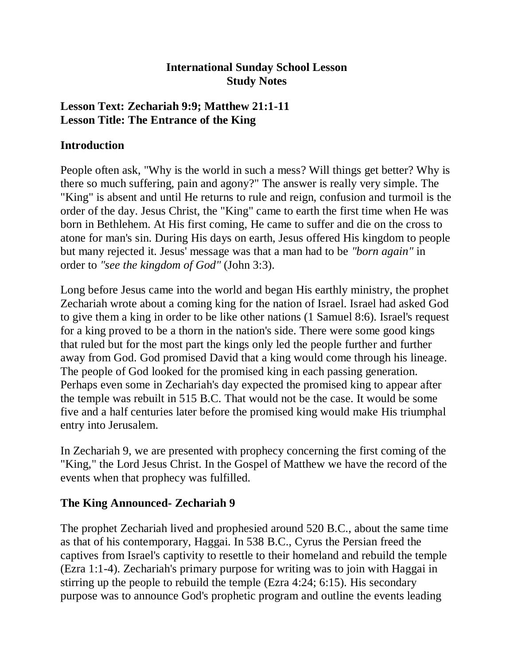### **International Sunday School Lesson Study Notes**

### **Lesson Text: Zechariah 9:9; Matthew 21:1-11 Lesson Title: The Entrance of the King**

# **Introduction**

People often ask, "Why is the world in such a mess? Will things get better? Why is there so much suffering, pain and agony?" The answer is really very simple. The "King" is absent and until He returns to rule and reign, confusion and turmoil is the order of the day. Jesus Christ, the "King" came to earth the first time when He was born in Bethlehem. At His first coming, He came to suffer and die on the cross to atone for man's sin. During His days on earth, Jesus offered His kingdom to people but many rejected it. Jesus' message was that a man had to be *"born again"* in order to *"see the kingdom of God"* (John 3:3).

Long before Jesus came into the world and began His earthly ministry, the prophet Zechariah wrote about a coming king for the nation of Israel. Israel had asked God to give them a king in order to be like other nations (1 Samuel 8:6). Israel's request for a king proved to be a thorn in the nation's side. There were some good kings that ruled but for the most part the kings only led the people further and further away from God. God promised David that a king would come through his lineage. The people of God looked for the promised king in each passing generation. Perhaps even some in Zechariah's day expected the promised king to appear after the temple was rebuilt in 515 B.C. That would not be the case. It would be some five and a half centuries later before the promised king would make His triumphal entry into Jerusalem.

In Zechariah 9, we are presented with prophecy concerning the first coming of the "King," the Lord Jesus Christ. In the Gospel of Matthew we have the record of the events when that prophecy was fulfilled.

# **The King Announced- Zechariah 9**

The prophet Zechariah lived and prophesied around 520 B.C., about the same time as that of his contemporary, Haggai. In 538 B.C., Cyrus the Persian freed the captives from Israel's captivity to resettle to their homeland and rebuild the temple (Ezra 1:1-4). Zechariah's primary purpose for writing was to join with Haggai in stirring up the people to rebuild the temple (Ezra 4:24; 6:15). His secondary purpose was to announce God's prophetic program and outline the events leading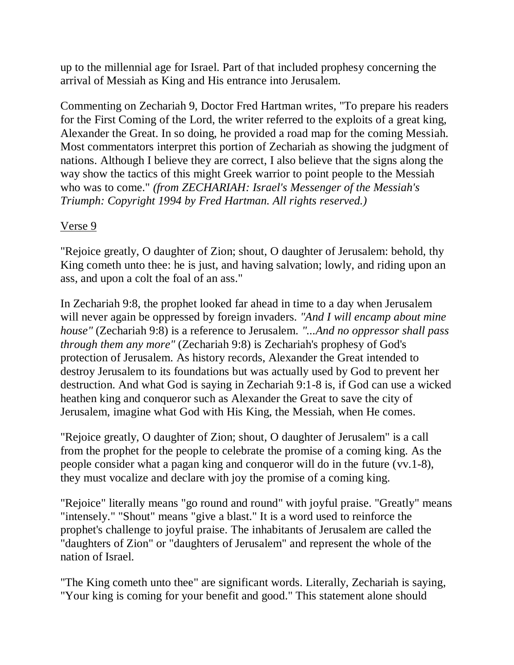up to the millennial age for Israel. Part of that included prophesy concerning the arrival of Messiah as King and His entrance into Jerusalem.

Commenting on Zechariah 9, Doctor Fred Hartman writes, "To prepare his readers for the First Coming of the Lord, the writer referred to the exploits of a great king, Alexander the Great. In so doing, he provided a road map for the coming Messiah. Most commentators interpret this portion of Zechariah as showing the judgment of nations. Although I believe they are correct, I also believe that the signs along the way show the tactics of this might Greek warrior to point people to the Messiah who was to come." *(from ZECHARIAH: Israel's Messenger of the Messiah's Triumph: Copyright 1994 by Fred Hartman. All rights reserved.)*

# Verse 9

"Rejoice greatly, O daughter of Zion; shout, O daughter of Jerusalem: behold, thy King cometh unto thee: he is just, and having salvation; lowly, and riding upon an ass, and upon a colt the foal of an ass."

In Zechariah 9:8, the prophet looked far ahead in time to a day when Jerusalem will never again be oppressed by foreign invaders. *"And I will encamp about mine house"* (Zechariah 9:8) is a reference to Jerusalem. *"...And no oppressor shall pass through them any more"* (Zechariah 9:8) is Zechariah's prophesy of God's protection of Jerusalem. As history records, Alexander the Great intended to destroy Jerusalem to its foundations but was actually used by God to prevent her destruction. And what God is saying in Zechariah 9:1-8 is, if God can use a wicked heathen king and conqueror such as Alexander the Great to save the city of Jerusalem, imagine what God with His King, the Messiah, when He comes.

"Rejoice greatly, O daughter of Zion; shout, O daughter of Jerusalem" is a call from the prophet for the people to celebrate the promise of a coming king. As the people consider what a pagan king and conqueror will do in the future (vv.1-8), they must vocalize and declare with joy the promise of a coming king.

"Rejoice" literally means "go round and round" with joyful praise. "Greatly" means "intensely." "Shout" means "give a blast." It is a word used to reinforce the prophet's challenge to joyful praise. The inhabitants of Jerusalem are called the "daughters of Zion" or "daughters of Jerusalem" and represent the whole of the nation of Israel.

"The King cometh unto thee" are significant words. Literally, Zechariah is saying, "Your king is coming for your benefit and good." This statement alone should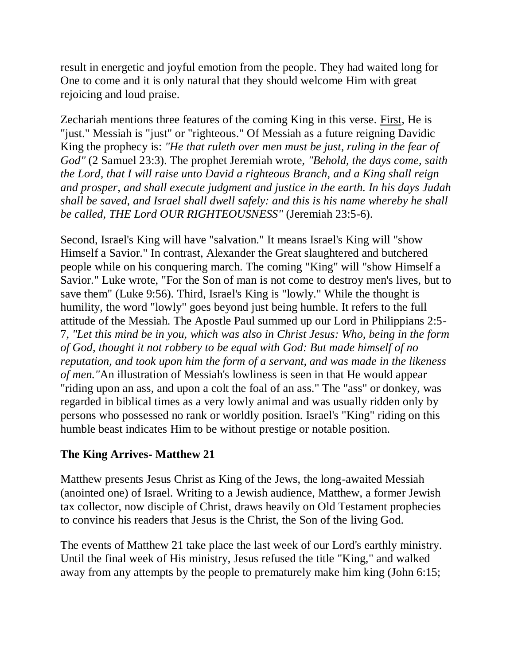result in energetic and joyful emotion from the people. They had waited long for One to come and it is only natural that they should welcome Him with great rejoicing and loud praise.

Zechariah mentions three features of the coming King in this verse. First, He is "just." Messiah is "just" or "righteous." Of Messiah as a future reigning Davidic King the prophecy is: *"He that ruleth over men must be just, ruling in the fear of God"* (2 Samuel 23:3). The prophet Jeremiah wrote, *"Behold, the days come, saith the Lord, that I will raise unto David a righteous Branch, and a King shall reign and prosper, and shall execute judgment and justice in the earth. In his days Judah shall be saved, and Israel shall dwell safely: and this is his name whereby he shall be called, THE Lord OUR RIGHTEOUSNESS"* (Jeremiah 23:5-6).

Second, Israel's King will have "salvation." It means Israel's King will "show Himself a Savior." In contrast, Alexander the Great slaughtered and butchered people while on his conquering march. The coming "King" will "show Himself a Savior." Luke wrote, "For the Son of man is not come to destroy men's lives, but to save them" (Luke 9:56). Third, Israel's King is "lowly." While the thought is humility, the word "lowly" goes beyond just being humble. It refers to the full attitude of the Messiah. The Apostle Paul summed up our Lord in Philippians 2:5- 7, *"Let this mind be in you, which was also in Christ Jesus: Who, being in the form of God, thought it not robbery to be equal with God: But made himself of no reputation, and took upon him the form of a servant, and was made in the likeness of men."*An illustration of Messiah's lowliness is seen in that He would appear "riding upon an ass, and upon a colt the foal of an ass." The "ass" or donkey, was regarded in biblical times as a very lowly animal and was usually ridden only by persons who possessed no rank or worldly position. Israel's "King" riding on this humble beast indicates Him to be without prestige or notable position.

# **The King Arrives- Matthew 21**

Matthew presents Jesus Christ as King of the Jews, the long-awaited Messiah (anointed one) of Israel. Writing to a Jewish audience, Matthew, a former Jewish tax collector, now disciple of Christ, draws heavily on Old Testament prophecies to convince his readers that Jesus is the Christ, the Son of the living God.

The events of Matthew 21 take place the last week of our Lord's earthly ministry. Until the final week of His ministry, Jesus refused the title "King," and walked away from any attempts by the people to prematurely make him king (John 6:15;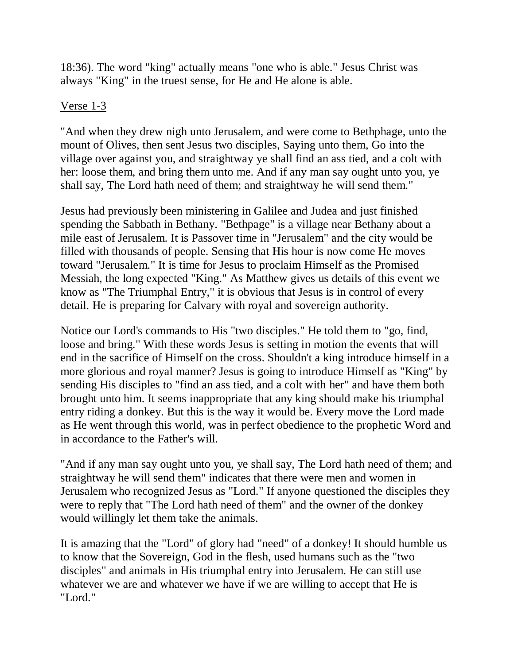18:36). The word "king" actually means "one who is able." Jesus Christ was always "King" in the truest sense, for He and He alone is able.

#### Verse 1-3

"And when they drew nigh unto Jerusalem, and were come to Bethphage, unto the mount of Olives, then sent Jesus two disciples, Saying unto them, Go into the village over against you, and straightway ye shall find an ass tied, and a colt with her: loose them, and bring them unto me. And if any man say ought unto you, ye shall say, The Lord hath need of them; and straightway he will send them."

Jesus had previously been ministering in Galilee and Judea and just finished spending the Sabbath in Bethany. "Bethpage" is a village near Bethany about a mile east of Jerusalem. It is Passover time in "Jerusalem" and the city would be filled with thousands of people. Sensing that His hour is now come He moves toward "Jerusalem." It is time for Jesus to proclaim Himself as the Promised Messiah, the long expected "King." As Matthew gives us details of this event we know as "The Triumphal Entry," it is obvious that Jesus is in control of every detail. He is preparing for Calvary with royal and sovereign authority.

Notice our Lord's commands to His "two disciples." He told them to "go, find, loose and bring." With these words Jesus is setting in motion the events that will end in the sacrifice of Himself on the cross. Shouldn't a king introduce himself in a more glorious and royal manner? Jesus is going to introduce Himself as "King" by sending His disciples to "find an ass tied, and a colt with her" and have them both brought unto him. It seems inappropriate that any king should make his triumphal entry riding a donkey. But this is the way it would be. Every move the Lord made as He went through this world, was in perfect obedience to the prophetic Word and in accordance to the Father's will.

"And if any man say ought unto you, ye shall say, The Lord hath need of them; and straightway he will send them" indicates that there were men and women in Jerusalem who recognized Jesus as "Lord." If anyone questioned the disciples they were to reply that "The Lord hath need of them" and the owner of the donkey would willingly let them take the animals.

It is amazing that the "Lord" of glory had "need" of a donkey! It should humble us to know that the Sovereign, God in the flesh, used humans such as the "two disciples" and animals in His triumphal entry into Jerusalem. He can still use whatever we are and whatever we have if we are willing to accept that He is "Lord."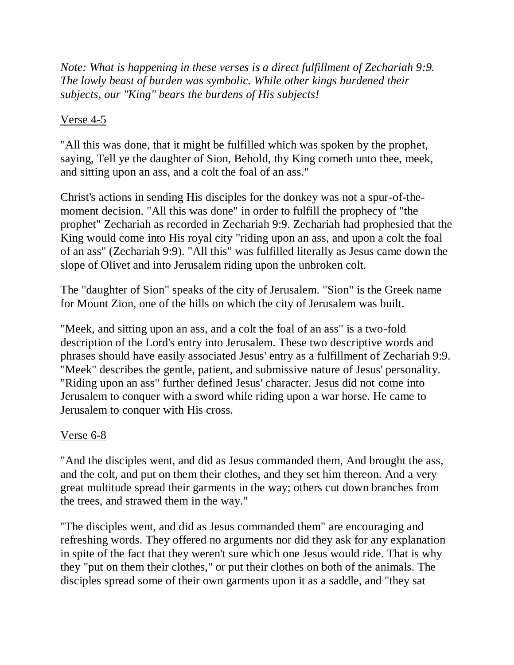*Note: What is happening in these verses is a direct fulfillment of Zechariah 9:9. The lowly beast of burden was symbolic. While other kings burdened their subjects, our "King" bears the burdens of His subjects!*

#### Verse 4-5

"All this was done, that it might be fulfilled which was spoken by the prophet, saying, Tell ye the daughter of Sion, Behold, thy King cometh unto thee, meek, and sitting upon an ass, and a colt the foal of an ass."

Christ's actions in sending His disciples for the donkey was not a spur-of-themoment decision. "All this was done" in order to fulfill the prophecy of "the prophet" Zechariah as recorded in Zechariah 9:9. Zechariah had prophesied that the King would come into His royal city "riding upon an ass, and upon a colt the foal of an ass" (Zechariah 9:9). "All this" was fulfilled literally as Jesus came down the slope of Olivet and into Jerusalem riding upon the unbroken colt.

The "daughter of Sion" speaks of the city of Jerusalem. "Sion" is the Greek name for Mount Zion, one of the hills on which the city of Jerusalem was built.

"Meek, and sitting upon an ass, and a colt the foal of an ass" is a two-fold description of the Lord's entry into Jerusalem. These two descriptive words and phrases should have easily associated Jesus' entry as a fulfillment of Zechariah 9:9. "Meek" describes the gentle, patient, and submissive nature of Jesus' personality. "Riding upon an ass" further defined Jesus' character. Jesus did not come into Jerusalem to conquer with a sword while riding upon a war horse. He came to Jerusalem to conquer with His cross.

# Verse 6-8

"And the disciples went, and did as Jesus commanded them, And brought the ass, and the colt, and put on them their clothes, and they set him thereon. And a very great multitude spread their garments in the way; others cut down branches from the trees, and strawed them in the way."

"The disciples went, and did as Jesus commanded them" are encouraging and refreshing words. They offered no arguments nor did they ask for any explanation in spite of the fact that they weren't sure which one Jesus would ride. That is why they "put on them their clothes," or put their clothes on both of the animals. The disciples spread some of their own garments upon it as a saddle, and "they sat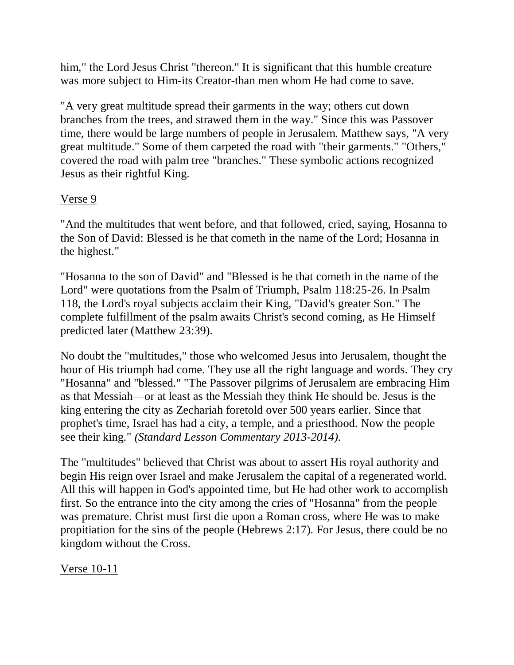him," the Lord Jesus Christ "thereon." It is significant that this humble creature was more subject to Him-its Creator-than men whom He had come to save.

"A very great multitude spread their garments in the way; others cut down branches from the trees, and strawed them in the way." Since this was Passover time, there would be large numbers of people in Jerusalem. Matthew says, "A very great multitude." Some of them carpeted the road with "their garments." "Others," covered the road with palm tree "branches." These symbolic actions recognized Jesus as their rightful King.

# Verse 9

"And the multitudes that went before, and that followed, cried, saying, Hosanna to the Son of David: Blessed is he that cometh in the name of the Lord; Hosanna in the highest."

"Hosanna to the son of David" and "Blessed is he that cometh in the name of the Lord" were quotations from the Psalm of Triumph, Psalm 118:25-26. In Psalm 118, the Lord's royal subjects acclaim their King, "David's greater Son." The complete fulfillment of the psalm awaits Christ's second coming, as He Himself predicted later (Matthew 23:39).

No doubt the "multitudes," those who welcomed Jesus into Jerusalem, thought the hour of His triumph had come. They use all the right language and words. They cry "Hosanna" and "blessed." "The Passover pilgrims of Jerusalem are embracing Him as that Messiah—or at least as the Messiah they think He should be. Jesus is the king entering the city as Zechariah foretold over 500 years earlier. Since that prophet's time, Israel has had a city, a temple, and a priesthood. Now the people see their king." *(Standard Lesson Commentary 2013-2014).*

The "multitudes" believed that Christ was about to assert His royal authority and begin His reign over Israel and make Jerusalem the capital of a regenerated world. All this will happen in God's appointed time, but He had other work to accomplish first. So the entrance into the city among the cries of "Hosanna" from the people was premature. Christ must first die upon a Roman cross, where He was to make propitiation for the sins of the people (Hebrews 2:17). For Jesus, there could be no kingdom without the Cross.

Verse 10-11